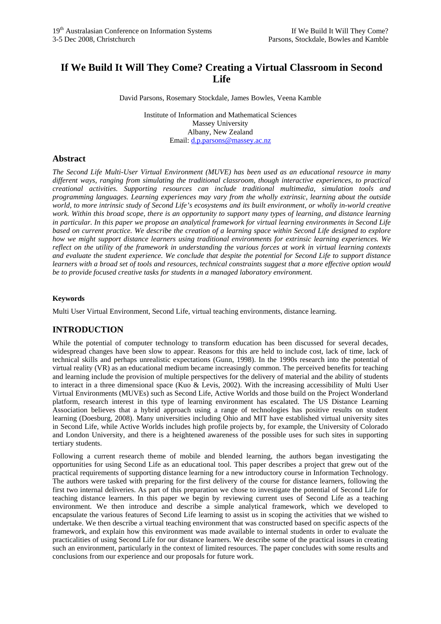# **If We Build It Will They Come? Creating a Virtual Classroom in Second Life**

David Parsons, Rosemary Stockdale, James Bowles, Veena Kamble

Institute of Information and Mathematical Sciences Massey University Albany, New Zealand Email: [d.p.parsons@massey.ac.nz](mailto:d.p.parsons@massey.ac.nz)

## **Abstract**

*The Second Life Multi-User Virtual Environment (MUVE) has been used as an educational resource in many different ways, ranging from simulating the traditional classroom, though interactive experiences, to practical creational activities. Supporting resources can include traditional multimedia, simulation tools and programming languages. Learning experiences may vary from the wholly extrinsic, learning about the outside world, to more intrinsic study of Second Life's ecosystems and its built environment, or wholly in-world creative*  work. Within this broad scope, there is an opportunity to support many types of learning, and distance learning *in particular. In this paper we propose an analytical framework for virtual learning environments in Second Life based on current practice. We describe the creation of a learning space within Second Life designed to explore how we might support distance learners using traditional environments for extrinsic learning experiences. We reflect on the utility of the framework in understanding the various forces at work in virtual learning contexts and evaluate the student experience. We conclude that despite the potential for Second Life to support distance learners with a broad set of tools and resources, technical constraints suggest that a more effective option would be to provide focused creative tasks for students in a managed laboratory environment.* 

### **Keywords**

Multi User Virtual Environment, Second Life, virtual teaching environments, distance learning.

# **INTRODUCTION**

While the potential of computer technology to transform education has been discussed for several decades, widespread changes have been slow to appear. Reasons for this are held to include cost, lack of time, lack of technical skills and perhaps unrealistic expectations (Gunn, 1998). In the 1990s research into the potential of virtual reality (VR) as an educational medium became increasingly common. The perceived benefits for teaching and learning include the provision of multiple perspectives for the delivery of material and the ability of students to interact in a three dimensional space (Kuo & Levis, 2002). With the increasing accessibility of Multi User Virtual Environments (MUVEs) such as Second Life, Active Worlds and those build on the Project Wonderland platform, research interest in this type of learning environment has escalated. The US Distance Learning Association believes that a hybrid approach using a range of technologies has positive results on student learning (Doesburg, 2008). Many universities including Ohio and MIT have established virtual university sites in Second Life, while Active Worlds includes high profile projects by, for example, the University of Colorado and London University, and there is a heightened awareness of the possible uses for such sites in supporting tertiary students.

Following a current research theme of mobile and blended learning, the authors began investigating the opportunities for using Second Life as an educational tool. This paper describes a project that grew out of the practical requirements of supporting distance learning for a new introductory course in Information Technology. The authors were tasked with preparing for the first delivery of the course for distance learners, following the first two internal deliveries. As part of this preparation we chose to investigate the potential of Second Life for teaching distance learners. In this paper we begin by reviewing current uses of Second Life as a teaching environment. We then introduce and describe a simple analytical framework, which we developed to encapsulate the various features of Second Life learning to assist us in scoping the activities that we wished to undertake. We then describe a virtual teaching environment that was constructed based on specific aspects of the framework, and explain how this environment was made available to internal students in order to evaluate the practicalities of using Second Life for our distance learners. We describe some of the practical issues in creating such an environment, particularly in the context of limited resources. The paper concludes with some results and conclusions from our experience and our proposals for future work.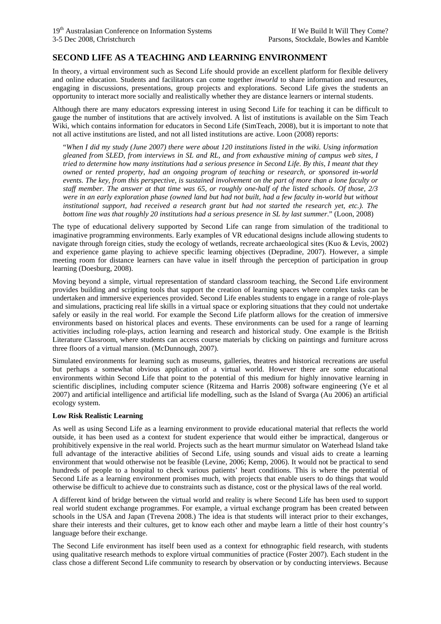## **SECOND LIFE AS A TEACHING AND LEARNING ENVIRONMENT**

In theory, a virtual environment such as Second Life should provide an excellent platform for flexible delivery and online education. Students and facilitators can come together *inworld* to share information and resources, engaging in discussions, presentations, group projects and explorations. Second Life gives the students an opportunity to interact more socially and realistically whether they are distance learners or internal students.

Although there are many educators expressing interest in using Second Life for teaching it can be difficult to gauge the number of institutions that are actively involved. A list of institutions is available on the Sim Teach Wiki, which contains information for educators in Second Life (SimTeach, 2008), but it is important to note that not all active institutions are listed, and not all listed institutions are active. Loon (2008) reports:

"*When I did my study (June 2007) there were about 120 institutions listed in the wiki. Using information gleaned from SLED, from interviews in SL and RL, and from exhaustive mining of campus web sites, I tried to determine how many institutions had a serious presence in Second Life. By this, I meant that they owned or rented property, had an ongoing program of teaching or research, or sponsored in-world events. The key, from this perspective, is sustained involvement on the part of more than a lone faculty or staff member. The answer at that time was 65, or roughly one-half of the listed schools. Of those, 2/3 were in an early exploration phase (owned land but had not built, had a few faculty in-world but without institutional support, had received a research grant but had not started the research yet, etc.). The bottom line was that roughly 20 institutions had a serious presence in SL by last summer*." (Loon, 2008)

The type of educational delivery supported by Second Life can range from simulation of the traditional to imaginative programming environments. Early examples of VR educational designs include allowing students to navigate through foreign cities, study the ecology of wetlands, recreate archaeological sites (Kuo & Levis, 2002) and experience game playing to achieve specific learning objectives (Depradine, 2007). However, a simple meeting room for distance learners can have value in itself through the perception of participation in group learning (Doesburg, 2008).

Moving beyond a simple, virtual representation of standard classroom teaching, the Second Life environment provides building and scripting tools that support the creation of learning spaces where complex tasks can be undertaken and immersive experiences provided. Second Life enables students to engage in a range of role-plays and simulations, practicing real life skills in a virtual space or exploring situations that they could not undertake safely or easily in the real world. For example the Second Life platform allows for the creation of immersive environments based on historical places and events. These environments can be used for a range of learning activities including role-plays, action learning and research and historical study. One example is the British Literature Classroom, where students can access course materials by clicking on paintings and furniture across three floors of a virtual mansion. (McDunnough, 2007).

Simulated environments for learning such as museums, galleries, theatres and historical recreations are useful but perhaps a somewhat obvious application of a virtual world. However there are some educational environments within Second Life that point to the potential of this medium for highly innovative learning in scientific disciplines, including computer science (Ritzema and Harris 2008) software engineering (Ye et al 2007) and artificial intelligence and artificial life modelling, such as the Island of Svarga (Au 2006) an artificial ecology system.

#### **Low Risk Realistic Learning**

As well as using Second Life as a learning environment to provide educational material that reflects the world outside, it has been used as a context for student experience that would either be impractical, dangerous or prohibitively expensive in the real world. Projects such as the heart murmur simulator on Waterhead Island take full advantage of the interactive abilities of Second Life, using sounds and visual aids to create a learning environment that would otherwise not be feasible (Levine, 2006; Kemp, 2006). It would not be practical to send hundreds of people to a hospital to check various patients' heart conditions. This is where the potential of Second Life as a learning environment promises much, with projects that enable users to do things that would otherwise be difficult to achieve due to constraints such as distance, cost or the physical laws of the real world.

A different kind of bridge between the virtual world and reality is where Second Life has been used to support real world student exchange programmes. For example, a virtual exchange program has been created between schools in the USA and Japan (Trevena 2008.) The idea is that students will interact prior to their exchanges, share their interests and their cultures, get to know each other and maybe learn a little of their host country's language before their exchange.

The Second Life environment has itself been used as a context for ethnographic field research, with students using qualitative research methods to explore virtual communities of practice (Foster 2007). Each student in the class chose a different Second Life community to research by observation or by conducting interviews. Because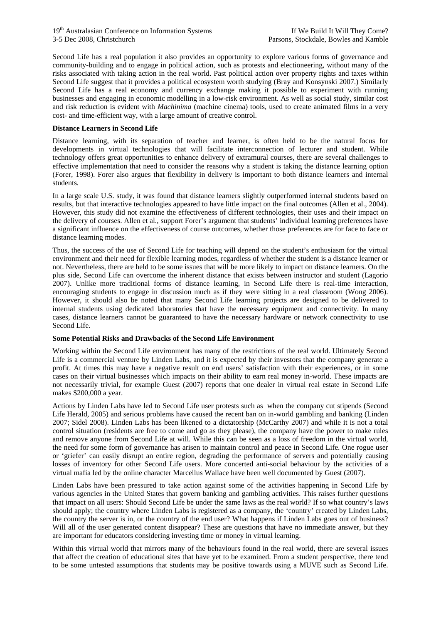Second Life has a real population it also provides an opportunity to explore various forms of governance and community-building and to engage in political action, such as protests and electioneering, without many of the risks associated with taking action in the real world. Past political action over property rights and taxes within Second Life suggest that it provides a political ecosystem worth studying (Bray and Konsynski 2007.) Similarly Second Life has a real economy and currency exchange making it possible to experiment with running businesses and engaging in economic modelling in a low-risk environment. As well as social study, similar cost and risk reduction is evident with *Machinima* (machine cinema) tools, used to create animated films in a very cost- and time-efficient way, with a large amount of creative control.

#### **Distance Learners in Second Life**

Distance learning, with its separation of teacher and learner, is often held to be the natural focus for developments in virtual technologies that will facilitate interconnection of lecturer and student. While technology offers great opportunities to enhance delivery of extramural courses, there are several challenges to effective implementation that need to consider the reasons why a student is taking the distance learning option (Forer, 1998). Forer also argues that flexibility in delivery is important to both distance learners and internal students.

In a large scale U.S. study, it was found that distance learners slightly outperformed internal students based on results, but that interactive technologies appeared to have little impact on the final outcomes (Allen et al., 2004). However, this study did not examine the effectiveness of different technologies, their uses and their impact on the delivery of courses. Allen et al., support Forer's argument that students' individual learning preferences have a significant influence on the effectiveness of course outcomes, whether those preferences are for face to face or distance learning modes.

Thus, the success of the use of Second Life for teaching will depend on the student's enthusiasm for the virtual environment and their need for flexible learning modes, regardless of whether the student is a distance learner or not. Nevertheless, there are held to be some issues that will be more likely to impact on distance learners. On the plus side, Second Life can overcome the inherent distance that exists between instructor and student (Lagorio 2007). Unlike more traditional forms of distance learning, in Second Life there is real-time interaction, encouraging students to engage in discussion much as if they were sitting in a real classroom (Wong 2006). However, it should also be noted that many Second Life learning projects are designed to be delivered to internal students using dedicated laboratories that have the necessary equipment and connectivity. In many cases, distance learners cannot be guaranteed to have the necessary hardware or network connectivity to use Second Life.

#### **Some Potential Risks and Drawbacks of the Second Life Environment**

Working within the Second Life environment has many of the restrictions of the real world. Ultimately Second Life is a commercial venture by Linden Labs, and it is expected by their investors that the company generate a profit. At times this may have a negative result on end users' satisfaction with their experiences, or in some cases on their virtual businesses which impacts on their ability to earn real money in-world. These impacts are not necessarily trivial, for example Guest (2007) reports that one dealer in virtual real estate in Second Life makes \$200,000 a year.

Actions by Linden Labs have led to Second Life user protests such as when the company cut stipends (Second Life Herald, 2005) and serious problems have caused the recent ban on in-world gambling and banking (Linden 2007; Sidel 2008). Linden Labs has been likened to a dictatorship (McCarthy 2007) and while it is not a total control situation (residents are free to come and go as they please), the company have the power to make rules and remove anyone from Second Life at will. While this can be seen as a loss of freedom in the virtual world, the need for some form of governance has arisen to maintain control and peace in Second Life. One rogue user or 'griefer' can easily disrupt an entire region, degrading the performance of servers and potentially causing losses of inventory for other Second Life users. More concerted anti-social behaviour by the activities of a virtual mafia led by the online character Marcellus Wallace have been well documented by Guest (2007).

Linden Labs have been pressured to take action against some of the activities happening in Second Life by various agencies in the United States that govern banking and gambling activities. This raises further questions that impact on all users: Should Second Life be under the same laws as the real world? If so what country's laws should apply; the country where Linden Labs is registered as a company, the 'country' created by Linden Labs, the country the server is in, or the country of the end user? What happens if Linden Labs goes out of business? Will all of the user generated content disappear? These are questions that have no immediate answer, but they are important for educators considering investing time or money in virtual learning.

Within this virtual world that mirrors many of the behaviours found in the real world, there are several issues that affect the creation of educational sites that have yet to be examined. From a student perspective, there tend to be some untested assumptions that students may be positive towards using a MUVE such as Second Life.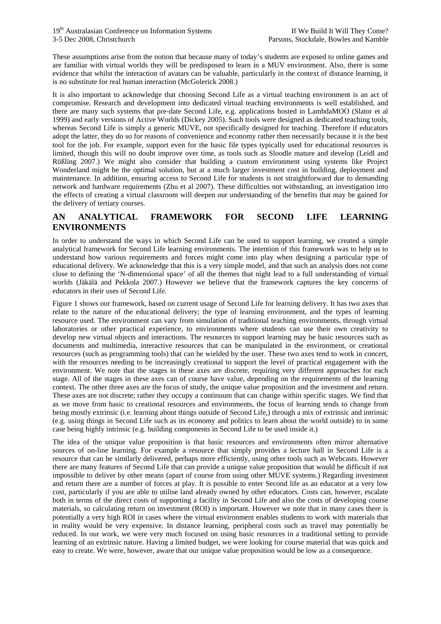These assumptions arise from the notion that because many of today's students are exposed to online games and are familiar with virtual worlds they will be predisposed to learn in a MUV environment. Also, there is some evidence that whilst the interaction of avatars can be valuable, particularly in the context of distance learning, it is no substitute for real human interaction (McGolerick 2008.)

It is also important to acknowledge that choosing Second Life as a virtual teaching environment is an act of compromise. Research and development into dedicated virtual teaching environments is well established, and there are many such systems that pre-date Second Life, e.g. applications hosted in LambdaMOO (Slator et al 1999) and early versions of Active Worlds (Dickey 2005). Such tools were designed as dedicated teaching tools, whereas Second Life is simply a generic MUVE, not specifically designed for teaching. Therefore if educators adopt the latter, they do so for reasons of convenience and economy rather then necessarily because it is the best tool for the job. For example, support even for the basic file types typically used for educational resources is limited, though this will no doubt improve over time, as tools such as Sloodle mature and develop (Leidl and Rößling 2007.) We might also consider that building a custom environment using systems like Project Wonderland might be the optimal solution, but at a much larger investment cost in building, deployment and maintenance. In addition, ensuring access to Second Life for students is not straightforward due to demanding network and hardware requirements (Zhu et al 2007). These difficulties not withstanding, an investigation into the effects of creating a virtual classroom will deepen our understanding of the benefits that may be gained for the delivery of tertiary courses.

## **AN ANALYTICAL FRAMEWORK FOR SECOND LIFE LEARNING ENVIRONMENTS**

In order to understand the ways in which Second Life can be used to support learning, we created a simple analytical framework for Second Life learning environments. The intention of this framework was to help us to understand how various requirements and forces might come into play when designing a particular type of educational delivery. We acknowledge that this is a very simple model, and that such an analysis does not come close to defining the 'N-dimensional space' of all the themes that night lead to a full understanding of virtual worlds (Jäkälä and Pekkola 2007.) However we believe that the framework captures the key concerns of educators in their uses of Second Life.

Figure 1 shows our framework, based on current usage of Second Life for learning delivery. It has two axes that relate to the nature of the educational delivery; the type of learning environment, and the types of learning resource used. The environment can vary from simulation of traditional teaching environments, through virtual laboratories or other practical experience, to environments where students can use their own creativity to develop new virtual objects and interactions. The resources to support learning may be basic resources such as documents and multimedia, interactive resources that can be manipulated in the environment, or creational resources (such as programming tools) that can be wielded by the user. These two axes tend to work in concert, with the resources needing to be increasingly creational to support the level of practical engagement with the environment. We note that the stages in these axes are discrete, requiring very different approaches for each stage. All of the stages in these axes can of course have value, depending on the requirements of the learning context. The other three axes are the focus of study, the unique value proposition and the investment and return. These axes are not discrete; rather they occupy a continuum that can change within specific stages. We find that as we move from basic to creational resources and environments, the focus of learning tends to change from being mostly extrinsic (i.e. learning about things outside of Second Life,) through a mix of extrinsic and intrinsic (e.g. using things in Second Life such as its economy and politics to learn about the world outside) to in some case being highly intrinsic (e.g. building components in Second Life to be used inside it.)

The idea of the unique value proposition is that basic resources and environments often mirror alternative sources of on-line learning. For example a resource that simply provides a lecture hall in Second Life is a resource that can be similarly delivered, perhaps more efficiently, using other tools such as Webcasts. However there are many features of Second Life that can provide a unique value proposition that would be difficult if not impossible to deliver by other means (apart of course from using other MUVE systems.) Regarding investment and return there are a number of forces at play. It is possible to enter Second life as an educator at a very low cost, particularly if you are able to utilise land already owned by other educators. Costs can, however, escalate both in terms of the direct costs of supporting a facility in Second Life and also the costs of developing course materials, so calculating return on investment (ROI) is important. However we note that in many cases there is potentially a very high ROI in cases where the virtual environment enables students to work with materials that in reality would be very expensive. In distance learning, peripheral costs such as travel may potentially be reduced. In our work, we were very much focused on using basic resources in a traditional setting to provide learning of an extrinsic nature. Having a limited budget, we were looking for course material that was quick and easy to create. We were, however, aware that our unique value proposition would be low as a consequence.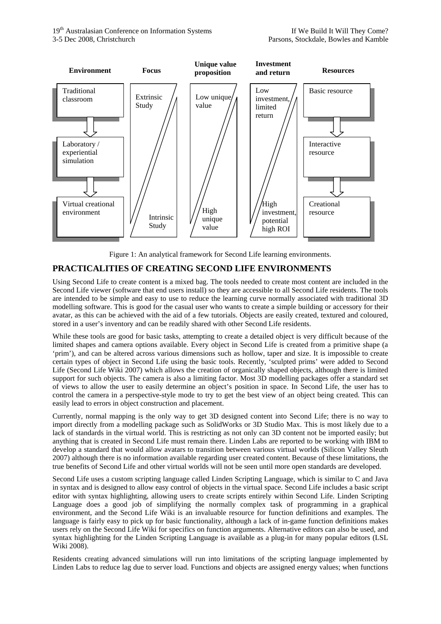

Figure 1: An analytical framework for Second Life learning environments.

# **PRACTICALITIES OF CREATING SECOND LIFE ENVIRONMENTS**

Using Second Life to create content is a mixed bag. The tools needed to create most content are included in the Second Life viewer (software that end users install) so they are accessible to all Second Life residents. The tools are intended to be simple and easy to use to reduce the learning curve normally associated with traditional 3D modelling software. This is good for the casual user who wants to create a simple building or accessory for their avatar, as this can be achieved with the aid of a few tutorials. Objects are easily created, textured and coloured, stored in a user's inventory and can be readily shared with other Second Life residents.

While these tools are good for basic tasks, attempting to create a detailed object is very difficult because of the limited shapes and camera options available. Every object in Second Life is created from a primitive shape (a 'prim'), and can be altered across various dimensions such as hollow, taper and size. It is impossible to create certain types of object in Second Life using the basic tools. Recently, 'sculpted prims' were added to Second Life (Second Life Wiki 2007) which allows the creation of organically shaped objects, although there is limited support for such objects. The camera is also a limiting factor. Most 3D modelling packages offer a standard set of views to allow the user to easily determine an object's position in space. In Second Life, the user has to control the camera in a perspective-style mode to try to get the best view of an object being created. This can easily lead to errors in object construction and placement.

Currently, normal mapping is the only way to get 3D designed content into Second Life; there is no way to import directly from a modelling package such as SolidWorks or 3D Studio Max. This is most likely due to a lack of standards in the virtual world. This is restricting as not only can 3D content not be imported easily; but anything that is created in Second Life must remain there. Linden Labs are reported to be working with IBM to develop a standard that would allow avatars to transition between various virtual worlds (Silicon Valley Sleuth 2007) although there is no information available regarding user created content. Because of these limitations, the true benefits of Second Life and other virtual worlds will not be seen until more open standards are developed.

Second Life uses a custom scripting language called Linden Scripting Language, which is similar to C and Java in syntax and is designed to allow easy control of objects in the virtual space. Second Life includes a basic script editor with syntax highlighting, allowing users to create scripts entirely within Second Life. Linden Scripting Language does a good job of simplifying the normally complex task of programming in a graphical environment, and the Second Life Wiki is an invaluable resource for function definitions and examples. The language is fairly easy to pick up for basic functionality, although a lack of in-game function definitions makes users rely on the Second Life Wiki for specifics on function arguments. Alternative editors can also be used, and syntax highlighting for the Linden Scripting Language is available as a plug-in for many popular editors (LSL Wiki 2008).

Residents creating advanced simulations will run into limitations of the scripting language implemented by Linden Labs to reduce lag due to server load. Functions and objects are assigned energy values; when functions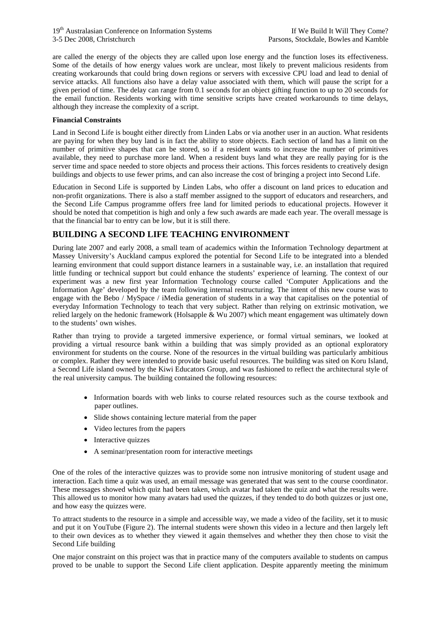are called the energy of the objects they are called upon lose energy and the function loses its effectiveness. Some of the details of how energy values work are unclear, most likely to prevent malicious residents from creating workarounds that could bring down regions or servers with excessive CPU load and lead to denial of service attacks. All functions also have a delay value associated with them, which will pause the script for a given period of time. The delay can range from 0.1 seconds for an object gifting function to up to 20 seconds for the email function. Residents working with time sensitive scripts have created workarounds to time delays, although they increase the complexity of a script.

#### **Financial Constraints**

Land in Second Life is bought either directly from Linden Labs or via another user in an auction. What residents are paying for when they buy land is in fact the ability to store objects. Each section of land has a limit on the number of primitive shapes that can be stored, so if a resident wants to increase the number of primitives available, they need to purchase more land. When a resident buys land what they are really paying for is the server time and space needed to store objects and process their actions. This forces residents to creatively design buildings and objects to use fewer prims, and can also increase the cost of bringing a project into Second Life.

Education in Second Life is supported by Linden Labs, who offer a discount on land prices to education and non-profit organizations. There is also a staff member assigned to the support of educators and researchers, and the Second Life Campus programme offers free land for limited periods to educational projects. However it should be noted that competition is high and only a few such awards are made each year. The overall message is that the financial bar to entry can be low, but it is still there.

# **BUILDING A SECOND LIFE TEACHING ENVIRONMENT**

During late 2007 and early 2008, a small team of academics within the Information Technology department at Massey University's Auckland campus explored the potential for Second Life to be integrated into a blended learning environment that could support distance learners in a sustainable way, i.e. an installation that required little funding or technical support but could enhance the students' experience of learning. The context of our experiment was a new first year Information Technology course called 'Computer Applications and the Information Age' developed by the team following internal restructuring. The intent of this new course was to engage with the Bebo / MySpace / iMedia generation of students in a way that capitalises on the potential of everyday Information Technology to teach that very subject. Rather than relying on extrinsic motivation, we relied largely on the hedonic framework (Holsapple & Wu 2007) which meant engagement was ultimately down to the students' own wishes.

Rather than trying to provide a targeted immersive experience, or formal virtual seminars, we looked at providing a virtual resource bank within a building that was simply provided as an optional exploratory environment for students on the course. None of the resources in the virtual building was particularly ambitious or complex. Rather they were intended to provide basic useful resources. The building was sited on Koru Island, a Second Life island owned by the Kiwi Educators Group, and was fashioned to reflect the architectural style of the real university campus. The building contained the following resources:

- Information boards with web links to course related resources such as the course textbook and paper outlines.
- Slide shows containing lecture material from the paper
- Video lectures from the papers
- Interactive quizzes
- A seminar/presentation room for interactive meetings

One of the roles of the interactive quizzes was to provide some non intrusive monitoring of student usage and interaction. Each time a quiz was used, an email message was generated that was sent to the course coordinator. These messages showed which quiz had been taken, which avatar had taken the quiz and what the results were. This allowed us to monitor how many avatars had used the quizzes, if they tended to do both quizzes or just one, and how easy the quizzes were.

To attract students to the resource in a simple and accessible way, we made a video of the facility, set it to music and put it on YouTube (Figure 2). The internal students were shown this video in a lecture and then largely left to their own devices as to whether they viewed it again themselves and whether they then chose to visit the Second Life building

One major constraint on this project was that in practice many of the computers available to students on campus proved to be unable to support the Second Life client application. Despite apparently meeting the minimum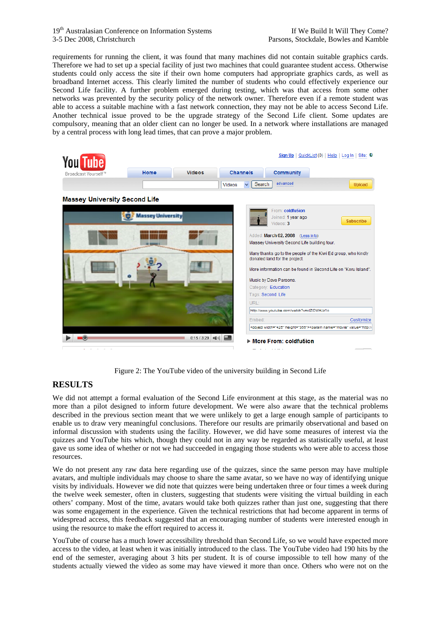requirements for running the client, it was found that many machines did not contain suitable graphics cards. Therefore we had to set up a special facility of just two machines that could guarantee student access. Otherwise students could only access the site if their own home computers had appropriate graphics cards, as well as broadband Internet access. This clearly limited the number of students who could effectively experience our Second Life facility. A further problem emerged during testing, which was that access from some other networks was prevented by the security policy of the network owner. Therefore even if a remote student was able to access a suitable machine with a fast network connection, they may not be able to access Second Life. Another technical issue proved to be the upgrade strategy of the Second Life client. Some updates are compulsory, meaning that an older client can no longer be used. In a network where installations are managed by a central process with long lead times, that can prove a major problem.

| <b>You Tube</b>                      |                          |                       |                 |              |                                                                                   | Sign Up   QuickList (0)   Help   Log In   Site: 0                                                                               |
|--------------------------------------|--------------------------|-----------------------|-----------------|--------------|-----------------------------------------------------------------------------------|---------------------------------------------------------------------------------------------------------------------------------|
| Broadcast Yourself <sup>™</sup>      | Home                     | <b>Videos</b>         | <b>Channels</b> |              | <b>Community</b>                                                                  |                                                                                                                                 |
|                                      |                          |                       | <b>Videos</b>   | Search<br>×. | advanced                                                                          | <b>Upload</b>                                                                                                                   |
| <b>Massey University Second Life</b> |                          |                       |                 |              |                                                                                   |                                                                                                                                 |
|                                      | <b>Massey University</b> |                       |                 |              | From: coldfu5ion<br>Joined: 1 year ago<br>Videos: 3                               | <b>Subscribe</b>                                                                                                                |
|                                      |                          |                       |                 |              | Added: March 02, 2008 (Less info)<br>Massey University Second Life building tour. |                                                                                                                                 |
|                                      |                          |                       |                 |              | donated land for the project.                                                     | Many thanks go to the people of the Kiwi Ed group, who kindly<br>More information can be found in Second Life on "Koru Island". |
|                                      |                          |                       |                 |              | Music by Dave Parsons.                                                            |                                                                                                                                 |
|                                      |                          |                       |                 |              | Category: Education                                                               |                                                                                                                                 |
|                                      |                          |                       |                 | URL:         | Tags: Second Life                                                                 |                                                                                                                                 |
|                                      |                          |                       |                 |              | http://www.youtube.com/watch?v=xIZIDWHJz1c                                        |                                                                                                                                 |
|                                      |                          |                       |                 | Embed:       |                                                                                   | Customize                                                                                                                       |
|                                      |                          |                       |                 |              |                                                                                   | <object height="355" width="425">&lt;param name="movie" value="http://&lt;/td&gt;</object>                                      |
| ÷                                    |                          | $0:15/3:29$ $  $ $  $ |                 |              | More From: coldfu5ion                                                             |                                                                                                                                 |

Figure 2: The YouTube video of the university building in Second Life

## **RESULTS**

We did not attempt a formal evaluation of the Second Life environment at this stage, as the material was no more than a pilot designed to inform future development. We were also aware that the technical problems described in the previous section meant that we were unlikely to get a large enough sample of participants to enable us to draw very meaningful conclusions. Therefore our results are primarily observational and based on informal discussion with students using the facility. However, we did have some measures of interest via the quizzes and YouTube hits which, though they could not in any way be regarded as statistically useful, at least gave us some idea of whether or not we had succeeded in engaging those students who were able to access those resources.

We do not present any raw data here regarding use of the quizzes, since the same person may have multiple avatars, and multiple individuals may choose to share the same avatar, so we have no way of identifying unique visits by individuals. However we did note that quizzes were being undertaken three or four times a week during the twelve week semester, often in clusters, suggesting that students were visiting the virtual building in each others' company. Most of the time, avatars would take both quizzes rather than just one, suggesting that there was some engagement in the experience. Given the technical restrictions that had become apparent in terms of widespread access, this feedback suggested that an encouraging number of students were interested enough in using the resource to make the effort required to access it.

YouTube of course has a much lower accessibility threshold than Second Life, so we would have expected more access to the video, at least when it was initially introduced to the class. The YouTube video had 190 hits by the end of the semester, averaging about 3 hits per student. It is of course impossible to tell how many of the students actually viewed the video as some may have viewed it more than once. Others who were not on the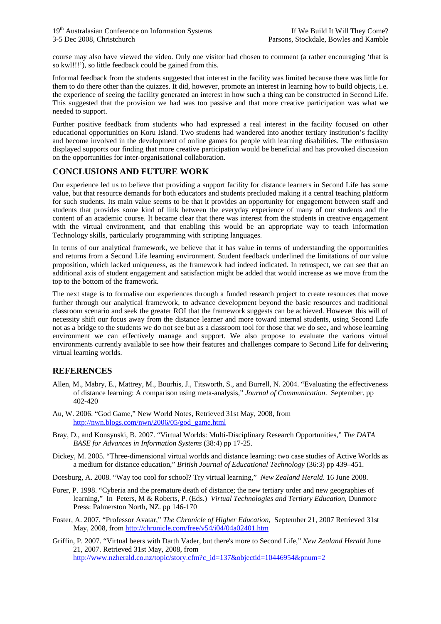course may also have viewed the video. Only one visitor had chosen to comment (a rather encouraging 'that is so kwl!!!'), so little feedback could be gained from this.

Informal feedback from the students suggested that interest in the facility was limited because there was little for them to do there other than the quizzes. It did, however, promote an interest in learning how to build objects, i.e. the experience of seeing the facility generated an interest in how such a thing can be constructed in Second Life. This suggested that the provision we had was too passive and that more creative participation was what we needed to support.

Further positive feedback from students who had expressed a real interest in the facility focused on other educational opportunities on Koru Island. Two students had wandered into another tertiary institution's facility and become involved in the development of online games for people with learning disabilities. The enthusiasm displayed supports our finding that more creative participation would be beneficial and has provoked discussion on the opportunities for inter-organisational collaboration.

## **CONCLUSIONS AND FUTURE WORK**

Our experience led us to believe that providing a support facility for distance learners in Second Life has some value, but that resource demands for both educators and students precluded making it a central teaching platform for such students. Its main value seems to be that it provides an opportunity for engagement between staff and students that provides some kind of link between the everyday experience of many of our students and the content of an academic course. It became clear that there was interest from the students in creative engagement with the virtual environment, and that enabling this would be an appropriate way to teach Information Technology skills, particularly programming with scripting languages.

In terms of our analytical framework, we believe that it has value in terms of understanding the opportunities and returns from a Second Life learning environment. Student feedback underlined the limitations of our value proposition, which lacked uniqueness, as the framework had indeed indicated. In retrospect, we can see that an additional axis of student engagement and satisfaction might be added that would increase as we move from the top to the bottom of the framework.

The next stage is to formalise our experiences through a funded research project to create resources that move further through our analytical framework, to advance development beyond the basic resources and traditional classroom scenario and seek the greater ROI that the framework suggests can be achieved. However this will of necessity shift our focus away from the distance learner and more toward internal students, using Second Life not as a bridge to the students we do not see but as a classroom tool for those that we do see, and whose learning environment we can effectively manage and support. We also propose to evaluate the various virtual environments currently available to see how their features and challenges compare to Second Life for delivering virtual learning worlds.

### **REFERENCES**

- Allen, M., Mabry, E., Mattrey, M., Bourhis, J., Titsworth, S., and Burrell, N. 2004. "Evaluating the effectiveness of distance learning: A comparison using meta-analysis," *Journal of Communication*. September. pp 402-420
- Au, W. 2006. "God Game," New World Notes, Retrieved 31st May, 2008, from [http://nwn.blogs.com/nwn/2006/05/god\\_game.html](http://nwn.blogs.com/nwn/2006/05/god_game.html)
- Bray, D., and Konsynski, B. 2007. "Virtual Worlds: Multi-Disciplinary Research Opportunities*,*" *The DATA BASE for Advances in Information Systems* (38:4) pp 17-25.
- Dickey, M. 2005. "Three-dimensional virtual worlds and distance learning: two case studies of Active Worlds as a medium for distance education," *British Journal of Educational Technology* (36:3) pp 439–451.
- Doesburg, A. 2008. "Way too cool for school? Try virtual learning," *New Zealand Herald*. 16 June 2008.
- Forer, P. 1998. "Cyberia and the premature death of distance; the new tertiary order and new geographies of learning," In Peters, M & Roberts, P. (Eds.) *Virtual Technologies and Tertiary Education*, Dunmore Press: Palmerston North, NZ. pp 146-170
- Foster, A. 2007. "Professor Avatar," *The Chronicle of Higher Education*, September 21, 2007 Retrieved 31st May, 2008, from<http://chronicle.com/free/v54/i04/04a02401.htm>
- Griffin, P. 2007. "Virtual beers with Darth Vader, but there's more to Second Life," *New Zealand Herald* June 21, 2007. Retrieved 31st May, 2008, from [http://www.nzherald.co.nz/topic/story.cfm?c\\_id=137&objectid=10446954&pnum=2](http://www.nzherald.co.nz/topic/story.cfm?c_id=137&objectid=10446954&pnum=2)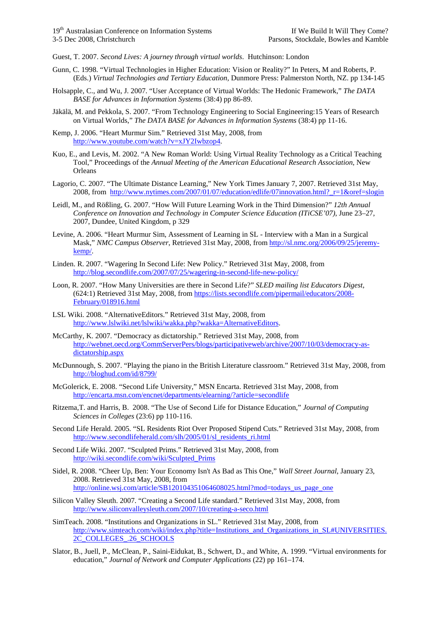Guest, T. 2007. *Second Lives: A journey through virtual worlds*. Hutchinson: London

- Gunn, C. 1998. "Virtual Technologies in Higher Education: Vision or Reality?" In Peters, M and Roberts, P. (Eds.) *Virtual Technologies and Tertiary Education,* Dunmore Press: Palmerston North, NZ. pp 134-145
- Holsapple, C., and Wu, J. 2007. "User Acceptance of Virtual Worlds: The Hedonic Framework," *The DATA BASE for Advances in Information Systems* (38:4) pp 86-89.
- Jäkälä, M. and Pekkola, S. 2007. "From Technology Engineering to Social Engineering:15 Years of Research on Virtual Worlds," *The DATA BASE for Advances in Information Systems* (38:4) pp 11-16.
- Kemp, J. 2006. "Heart Murmur Sim." Retrieved 31st May, 2008, from [http://www.youtube.com/watch?v=xJY2Iwbzop4.](http://www.youtube.com/watch?v=xJY2Iwbzop4)
- Kuo, E., and Levis, M. 2002. "A New Roman World: Using Virtual Reality Technology as a Critical Teaching Tool," Proceedings of the *Annual Meeting of the American Educational Research Association*, New Orleans
- Lagorio, C. 2007. "The Ultimate Distance Learning," New York Times January 7, 2007. Retrieved 31st May, 2008, from [http://www.nytimes.com/2007/01/07/education/edlife/07innovation.html?\\_r=1&oref=slogin](http://www.nytimes.com/2007/01/07/education/edlife/07innovation.html?_r=1&oref=slogin)
- Leidl, M., and Rößling, G. 2007. "How Will Future Learning Work in the Third Dimension?" *12th Annual Conference on Innovation and Technology in Computer Science Education (ITiCSE'07)*, June 23–27, 2007, Dundee, United Kingdom, p 329
- Levine, A. 2006. "Heart Murmur Sim, Assessment of Learning in SL Interview with a Man in a Surgical Mask," *NMC Campus Observer*, Retrieved 31st May, 2008, from [http://sl.nmc.org/2006/09/25/jeremy](http://sl.nmc.org/2006/09/25/jeremy-kemp/)[kemp/.](http://sl.nmc.org/2006/09/25/jeremy-kemp/)
- Linden. R. 2007. "Wagering In Second Life: New Policy." Retrieved 31st May, 2008, from <http://blog.secondlife.com/2007/07/25/wagering-in-second-life-new-policy/>
- Loon, R. 2007. "How Many Universities are there in Second Life?" *SLED mailing list Educators Digest*, (624:1) Retrieved 31st May, 2008, from [https://lists.secondlife.com/pipermail/educators/2008-](https://lists.secondlife.com/pipermail/educators/2008-February/018916.html) [February/018916.html](https://lists.secondlife.com/pipermail/educators/2008-February/018916.html)
- LSL Wiki. 2008. "AlternativeEditors." Retrieved 31st May, 2008, from <http://www.lslwiki.net/lslwiki/wakka.php?wakka=AlternativeEditors>.
- McCarthy, K. 2007. "Democracy as dictatorship." Retrieved 31st May, 2008, from [http://webnet.oecd.org/CommServerPers/blogs/participativeweb/archive/2007/10/03/democracy-as](http://webnet.oecd.org/CommServerPers/blogs/participativeweb/archive/2007/10/03/democracy-as-dictatorship.aspx)[dictatorship.aspx](http://webnet.oecd.org/CommServerPers/blogs/participativeweb/archive/2007/10/03/democracy-as-dictatorship.aspx)
- McDunnough, S. 2007. "Playing the piano in the British Literature classroom." Retrieved 31st May, 2008, from <http://bloghud.com/id/8799/>
- McGolerick, E. 2008. "Second Life University," MSN Encarta. Retrieved 31st May, 2008, from <http://encarta.msn.com/encnet/departments/elearning/?article=secondlife>
- Ritzema,T. and Harris, B. 2008. "The Use of Second Life for Distance Education," *Journal of Computing Sciences in Colleges* (23:6) pp 110-116.
- Second Life Herald. 2005. "SL Residents Riot Over Proposed Stipend Cuts." Retrieved 31st May, 2008, from [http://www.secondlifeherald.com/slh/2005/01/sl\\_residents\\_ri.html](http://www.secondlifeherald.com/slh/2005/01/sl_residents_ri.html)
- Second Life Wiki. 2007. "Sculpted Prims." Retrieved 31st May, 2008, from [http://wiki.secondlife.com/wiki/Sculpted\\_Prims](http://wiki.secondlife.com/wiki/Sculpted_Prims)
- Sidel, R. 2008. "Cheer Up, Ben: Your Economy Isn't As Bad as This One," *Wall Street Journal*, January 23, 2008. Retrieved 31st May, 2008, from [http://online.wsj.com/article/SB120104351064608025.html?mod=todays\\_us\\_page\\_one](http://online.wsj.com/article/SB120104351064608025.html?mod=todays_us_page_one)
- Silicon Valley Sleuth. 2007. "Creating a Second Life standard." Retrieved 31st May, 2008, from <http://www.siliconvalleysleuth.com/2007/10/creating-a-seco.html>
- SimTeach. 2008. "Institutions and Organizations in SL." Retrieved 31st May, 2008, from [http://www.simteach.com/wiki/index.php?title=Institutions\\_and\\_Organizations\\_in\\_SL#UNIVERSITIES.](http://www.simteach.com/wiki/index.php?title=Institutions_and_Organizations_in_SL#UNIVERSITIES.2C_COLLEGES_.26_SCHOOLS) [2C\\_COLLEGES\\_.26\\_SCHOOLS](http://www.simteach.com/wiki/index.php?title=Institutions_and_Organizations_in_SL#UNIVERSITIES.2C_COLLEGES_.26_SCHOOLS)
- Slator, B., Juell, P., McClean, P., Saini-Eidukat, B., Schwert, D., and White, A. 1999. "Virtual environments for education," *Journal of Network and Computer Applications* (22) pp 161–174.